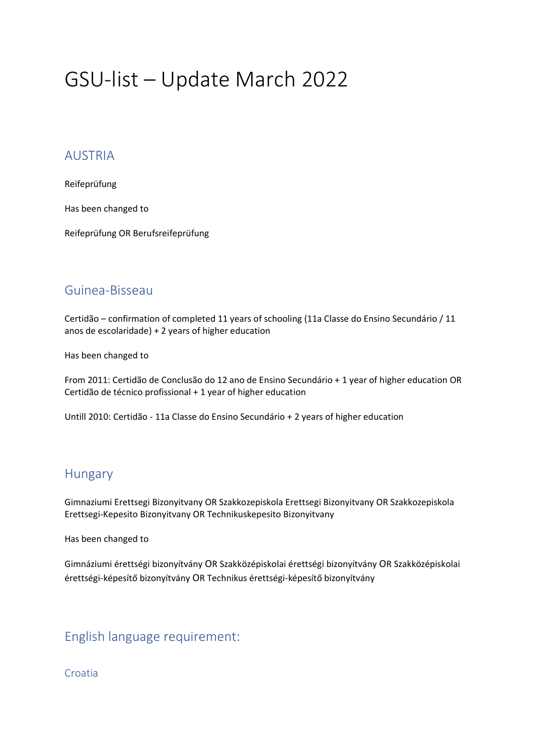# GSU-list – Update March 2022

#### AUSTRIA

Reifeprüfung

Has been changed to

Reifeprüfung OR Berufsreifeprüfung

### Guinea-Bisseau

Certidão – confirmation of completed 11 years of schooling (11a Classe do Ensino Secundário / 11 anos de escolaridade) + 2 years of higher education

Has been changed to

From 2011: Certidão de Conclusão do 12 ano de Ensino Secundário + 1 year of higher education OR Certidão de técnico profissional + 1 year of higher education

Untill 2010: Certidão - 11a Classe do Ensino Secundário + 2 years of higher education

## **Hungary**

Gimnaziumi Erettsegi Bizonyitvany OR Szakkozepiskola Erettsegi Bizonyitvany OR Szakkozepiskola Erettsegi-Kepesito Bizonyitvany OR Technikuskepesito Bizonyitvany

Has been changed to

Gimnáziumi érettségi bizonyítvány OR Szakközépiskolai érettségi bizonyítvány OR Szakközépiskolai érettségi-képesítő bizonyítvány OR Technikus érettségi-képesítő bizonyítvány

## English language requirement:

Croatia